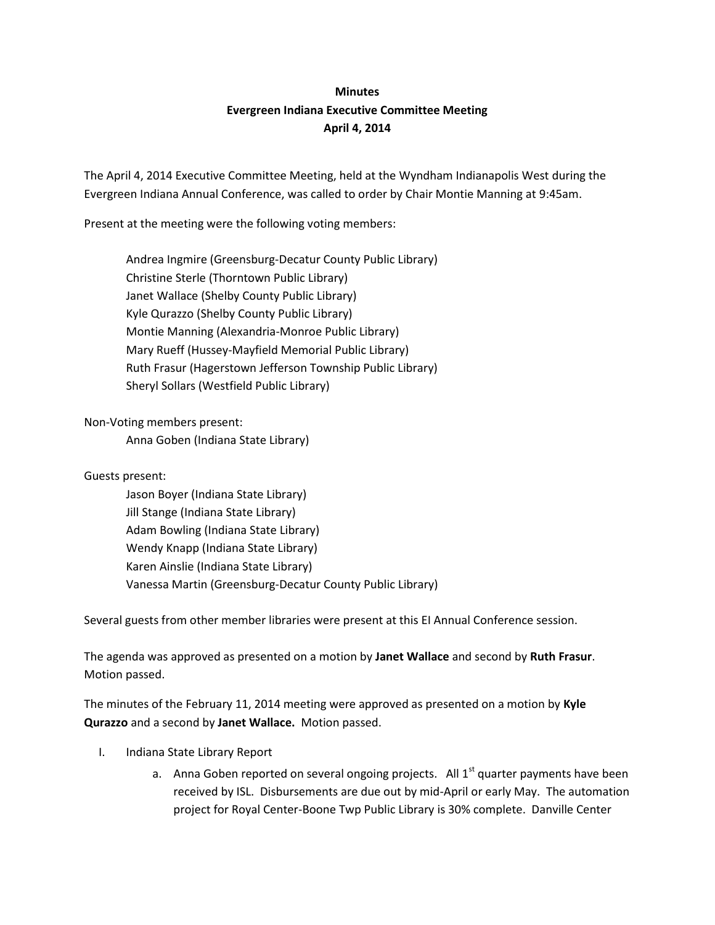## **Minutes Evergreen Indiana Executive Committee Meeting April 4, 2014**

The April 4, 2014 Executive Committee Meeting, held at the Wyndham Indianapolis West during the Evergreen Indiana Annual Conference, was called to order by Chair Montie Manning at 9:45am.

Present at the meeting were the following voting members:

Andrea Ingmire (Greensburg-Decatur County Public Library) Christine Sterle (Thorntown Public Library) Janet Wallace (Shelby County Public Library) Kyle Qurazzo (Shelby County Public Library) Montie Manning (Alexandria-Monroe Public Library) Mary Rueff (Hussey-Mayfield Memorial Public Library) Ruth Frasur (Hagerstown Jefferson Township Public Library) Sheryl Sollars (Westfield Public Library)

Non-Voting members present:

Anna Goben (Indiana State Library)

Guests present:

Jason Boyer (Indiana State Library) Jill Stange (Indiana State Library) Adam Bowling (Indiana State Library) Wendy Knapp (Indiana State Library) Karen Ainslie (Indiana State Library) Vanessa Martin (Greensburg-Decatur County Public Library)

Several guests from other member libraries were present at this EI Annual Conference session.

The agenda was approved as presented on a motion by **Janet Wallace** and second by **Ruth Frasur**. Motion passed.

The minutes of the February 11, 2014 meeting were approved as presented on a motion by **Kyle Qurazzo** and a second by **Janet Wallace.** Motion passed.

- I. Indiana State Library Report
	- a. Anna Goben reported on several ongoing projects. All  $1<sup>st</sup>$  quarter payments have been received by ISL. Disbursements are due out by mid-April or early May. The automation project for Royal Center-Boone Twp Public Library is 30% complete. Danville Center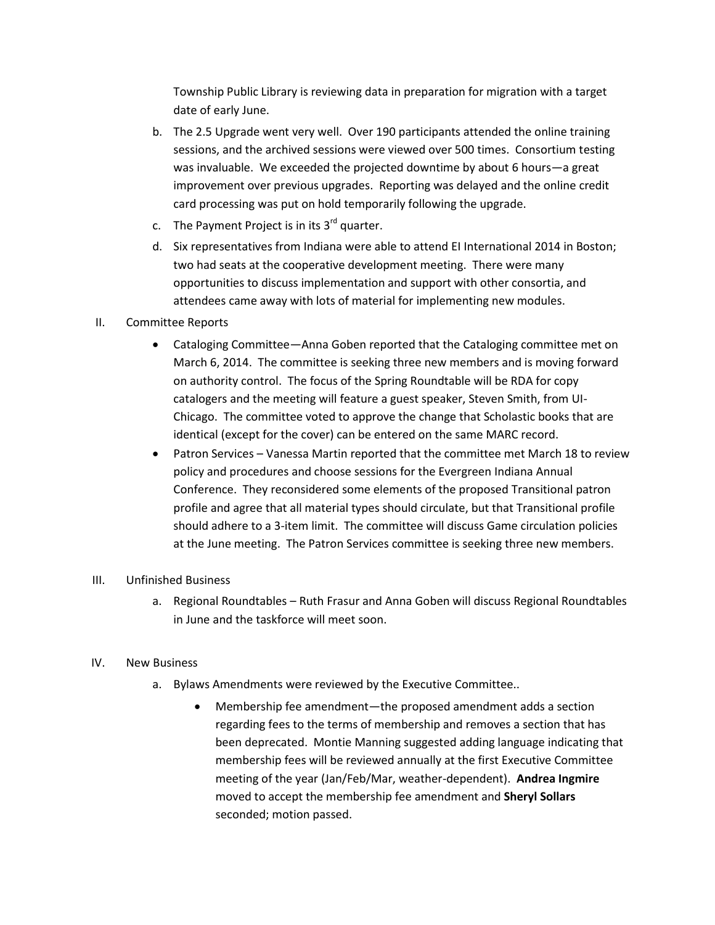Township Public Library is reviewing data in preparation for migration with a target date of early June.

- b. The 2.5 Upgrade went very well. Over 190 participants attended the online training sessions, and the archived sessions were viewed over 500 times. Consortium testing was invaluable. We exceeded the projected downtime by about 6 hours—a great improvement over previous upgrades. Reporting was delayed and the online credit card processing was put on hold temporarily following the upgrade.
- c. The Payment Project is in its  $3<sup>rd</sup>$  quarter.
- d. Six representatives from Indiana were able to attend EI International 2014 in Boston; two had seats at the cooperative development meeting. There were many opportunities to discuss implementation and support with other consortia, and attendees came away with lots of material for implementing new modules.
- II. Committee Reports
	- Cataloging Committee—Anna Goben reported that the Cataloging committee met on March 6, 2014. The committee is seeking three new members and is moving forward on authority control. The focus of the Spring Roundtable will be RDA for copy catalogers and the meeting will feature a guest speaker, Steven Smith, from UI-Chicago. The committee voted to approve the change that Scholastic books that are identical (except for the cover) can be entered on the same MARC record.
	- Patron Services Vanessa Martin reported that the committee met March 18 to review policy and procedures and choose sessions for the Evergreen Indiana Annual Conference. They reconsidered some elements of the proposed Transitional patron profile and agree that all material types should circulate, but that Transitional profile should adhere to a 3-item limit. The committee will discuss Game circulation policies at the June meeting. The Patron Services committee is seeking three new members.

## III. Unfinished Business

a. Regional Roundtables – Ruth Frasur and Anna Goben will discuss Regional Roundtables in June and the taskforce will meet soon.

## IV. New Business

- a. Bylaws Amendments were reviewed by the Executive Committee..
	- Membership fee amendment—the proposed amendment adds a section regarding fees to the terms of membership and removes a section that has been deprecated. Montie Manning suggested adding language indicating that membership fees will be reviewed annually at the first Executive Committee meeting of the year (Jan/Feb/Mar, weather-dependent). **Andrea Ingmire** moved to accept the membership fee amendment and **Sheryl Sollars**  seconded; motion passed.